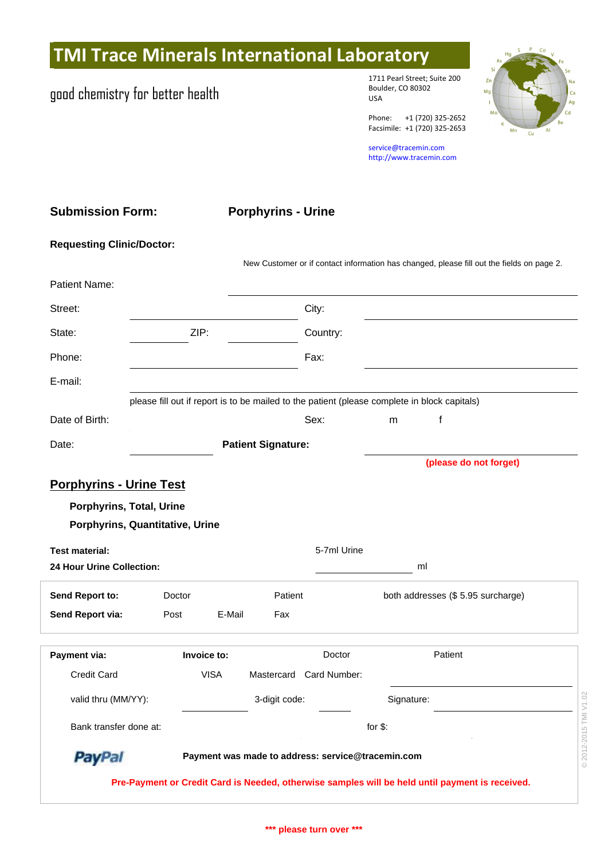## **TMI Trace Minerals International Laboratory**

## good chemistry for better health

1711 Pearl Street; Suite 200 Boulder, CO 80302 USA

Phone: +1 (720) 325-2652 Facsimile: +1 (720) 325-2653

service@tracemin.com <http://www.tracemin.com>

| <b>Submission Form:</b>          | <b>Porphyrins - Urine</b>                                                                       |
|----------------------------------|-------------------------------------------------------------------------------------------------|
| <b>Requesting Clinic/Doctor:</b> |                                                                                                 |
|                                  | New Customer or if contact information has changed, please fill out the fields on page 2.       |
| Patient Name:                    |                                                                                                 |
| Street:                          | City:                                                                                           |
| State:                           | ZIP:<br>Country:                                                                                |
| Phone:                           | Fax:                                                                                            |
| E-mail:                          |                                                                                                 |
|                                  | please fill out if report is to be mailed to the patient (please complete in block capitals)    |
| Date of Birth:                   | Sex:<br>f<br>m                                                                                  |
| Date:                            | <b>Patient Signature:</b>                                                                       |
|                                  | (please do not forget)                                                                          |
| <b>Porphyrins - Urine Test</b>   |                                                                                                 |
| Porphyrins, Total, Urine         |                                                                                                 |
| Porphyrins, Quantitative, Urine  |                                                                                                 |
| <b>Test material:</b>            | 5-7ml Urine                                                                                     |
| 24 Hour Urine Collection:        | ml                                                                                              |
| Send Report to:                  | Patient<br>both addresses (\$5.95 surcharge)<br>Doctor                                          |
| Send Report via:                 | F-Mail<br>Fax<br>Post                                                                           |
| Payment via:                     | Doctor<br>Patient<br>Invoice to:                                                                |
| Credit Card                      | <b>VISA</b><br>Mastercard Card Number:                                                          |
| valid thru (MM/YY):              | 3-digit code:<br>Signature:                                                                     |
| Bank transfer done at:           | © 2012-2015 TMI V1.02<br>for $$$ :                                                              |
| <b>PayPal</b>                    | Payment was made to address: service@tracemin.com                                               |
|                                  | Pre-Payment or Credit Card is Needed, otherwise samples will be held until payment is received. |